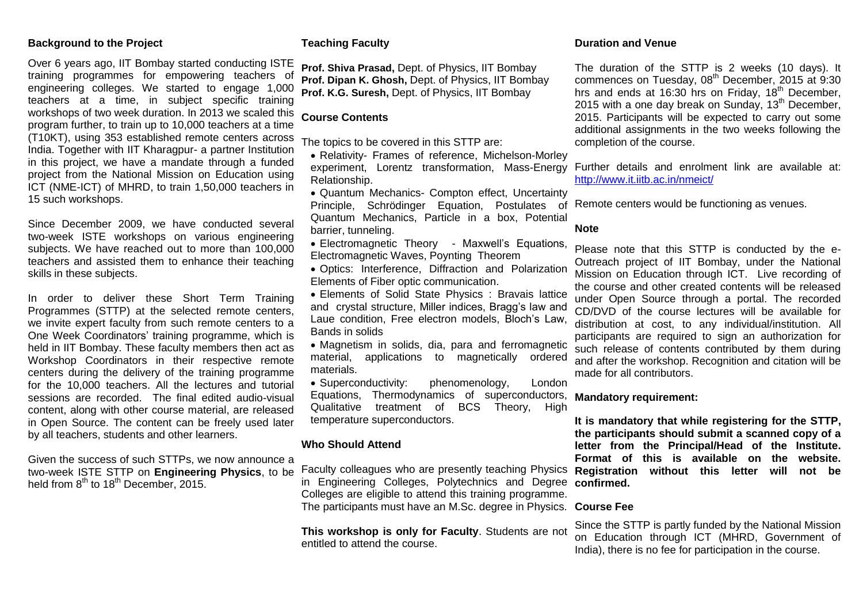#### **Background to the Project**

Over 6 years ago, IIT Bombay started conducting ISTE training programmes for empowering teachers of engineering colleges. We started to engage 1,000 teachers at a time, in subject specific training workshops of two week duration. In 2013 we scaled this program further, to train up to 10,000 teachers at a time (T10KT), using 353 established remote centers across India. Together with IIT Kharagpur- a partner Institution in this project, we have a mandate through a funded project from the National Mission on Education using ICT (NME-ICT) of MHRD, to train 1,50,000 teachers in 15 such workshops.

Since December 2009, we have conducted several two-week ISTE workshops on various engineering subjects. We have reached out to more than 100,000 teachers and assisted them to enhance their teaching skills in these subjects.

In order to deliver these Short Term Training Programmes (STTP) at the selected remote centers, we invite expert faculty from such remote centers to a One Week Coordinators' training programme, which is held in IIT Bombay. These faculty members then act as Workshop Coordinators in their respective remote centers during the delivery of the training programme for the 10,000 teachers. All the lectures and tutorial sessions are recorded. The final edited audio-visual content, along with other course material, are released in Open Source. The content can be freely used later by all teachers, students and other learners.

Given the success of such STTPs, we now announce a two-week ISTE STTP on **Engineering Physics**, to be held from 8<sup>th</sup> to 18<sup>th</sup> December, 2015.

#### **Teaching Faculty**

**Prof. Shiva Prasad,** Dept. of Physics, IIT Bombay **Prof. Dipan K. Ghosh,** Dept. of Physics, IIT Bombay **Prof. K.G. Suresh,** Dept. of Physics, IIT Bombay

#### **Course Contents**

The topics to be covered in this STTP are:

 Relativity- Frames of reference, Michelson-Morley experiment, Lorentz transformation, Mass-Energy Relationship.

 Quantum Mechanics- Compton effect, Uncertainty Principle, Schrödinger Equation, Postulates of Remote centers would be functioning as venues. Quantum Mechanics, Particle in a box, Potential barrier, tunneling.

- Electromagnetic Theory Maxwell's Equations, Electromagnetic Waves, Poynting Theorem
- Optics: Interference, Diffraction and Polarization Elements of Fiber optic communication.
- Elements of Solid State Physics : Bravais lattice and crystal structure, Miller indices, Bragg's law and Laue condition, Free electron models, Bloch's Law, Bands in solids
- Magnetism in solids, dia, para and ferromagnetic material, applications to magnetically ordered materials.
- Superconductivity: phenomenology, London Equations, Thermodynamics of superconductors, Qualitative treatment of BCS Theory, High temperature superconductors.

#### **Who Should Attend**

in Engineering Colleges, Polytechnics and Degree **confirmed.** Colleges are eligible to attend this training programme. The participants must have an M.Sc. degree in Physics. **Course Fee**

**This workshop is only for Faculty**. Students are not entitled to attend the course.

#### **Duration and Venue**

The duration of the STTP is 2 weeks (10 days). It commences on Tuesday,  $08<sup>th</sup>$  December, 2015 at 9:30 hrs and ends at 16:30 hrs on Friday,  $18<sup>th</sup>$  December, 2015 with a one day break on Sunday,  $13<sup>th</sup>$  December, 2015. Participants will be expected to carry out some additional assignments in the two weeks following the completion of the course.

Further details and enrolment link are available at: <http://www.it.iitb.ac.in/nmeict/>

#### **Note**

Please note that this STTP is conducted by the e-Outreach project of IIT Bombay, under the National Mission on Education through ICT. Live recording of the course and other created contents will be released under Open Source through a portal. The recorded CD/DVD of the course lectures will be available for distribution at cost, to any individual/institution. All participants are required to sign an authorization for such release of contents contributed by them during and after the workshop. Recognition and citation will be made for all contributors.

**Mandatory requirement:**

Faculty colleagues who are presently teaching Physics **Registration without this letter will not be It is mandatory that while registering for the STTP, the participants should submit a scanned copy of a letter from the Principal/Head of the Institute. Format of this is available on the website.** 

Since the STTP is partly funded by the National Mission on Education through ICT (MHRD, Government of India), there is no fee for participation in the course.